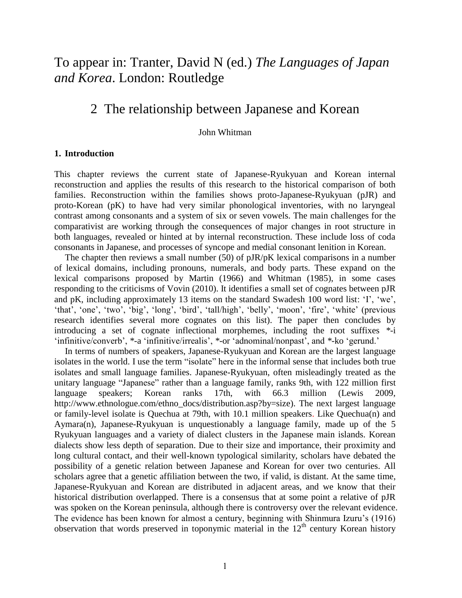# To appear in: Tranter, David N (ed.) *The Languages of Japan and Korea*. London: Routledge

## 2 The relationship between Japanese and Korean

#### John Whitman

#### **1. Introduction**

This chapter reviews the current state of Japanese-Ryukyuan and Korean internal reconstruction and applies the results of this research to the historical comparison of both families. Reconstruction within the families shows proto-Japanese-Ryukyuan (pJR) and proto-Korean (pK) to have had very similar phonological inventories, with no laryngeal contrast among consonants and a system of six or seven vowels. The main challenges for the comparativist are working through the consequences of major changes in root structure in both languages, revealed or hinted at by internal reconstruction. These include loss of coda consonants in Japanese, and processes of syncope and medial consonant lenition in Korean.

The chapter then reviews a small number (50) of pJR/pK lexical comparisons in a number of lexical domains, including pronouns, numerals, and body parts. These expand on the lexical comparisons proposed by Martin (1966) and Whitman (1985), in some cases responding to the criticisms of Vovin (2010). It identifies a small set of cognates between pJR and  $pK$ , including approximately 13 items on the standard Swadesh 100 word list: 'I', 'we', 'that', 'one', 'two', 'big', 'long', 'bird', 'tall/high', 'belly', 'moon', 'fire', 'white' (previous research identifies several more cognates on this list). The paper then concludes by introducing a set of cognate inflectional morphemes, including the root suffixes *\**-i 'infinitive/converb',  $*$ -a 'infinitive/irrealis',  $*$ -or 'adnominal/nonpast', and  $*$ -ko 'gerund.'

In terms of numbers of speakers, Japanese-Ryukyuan and Korean are the largest language isolates in the world. I use the term "isolate" here in the informal sense that includes both true isolates and small language families. Japanese-Ryukyuan, often misleadingly treated as the unitary language "Japanese" rather than a language family, ranks 9th, with 122 million first language speakers; Korean ranks 17th, with 66.3 million (Lewis 2009, [http://www.ethnologue.com/ethno\\_docs/distribution.asp?by=size\)](http://www.ethnologue.com/ethno_docs/distribution.asp?by=size). The next largest language or family-level isolate is Quechua at 79th, with 10.1 million speakers. Like Quechua(n) and Aymara(n), Japanese-Ryukyuan is unquestionably a language family, made up of the 5 Ryukyuan languages and a variety of dialect clusters in the Japanese main islands. Korean dialects show less depth of separation. Due to their size and importance, their proximity and long cultural contact, and their well-known typological similarity, scholars have debated the possibility of a genetic relation between Japanese and Korean for over two centuries. All scholars agree that a genetic affiliation between the two, if valid, is distant. At the same time, Japanese-Ryukyuan and Korean are distributed in adjacent areas, and we know that their historical distribution overlapped. There is a consensus that at some point a relative of pJR was spoken on the Korean peninsula, although there is controversy over the relevant evidence. The evidence has been known for almost a century, beginning with Shinmura Izuru's (1916) observation that words preserved in toponymic material in the  $12<sup>th</sup>$  century Korean history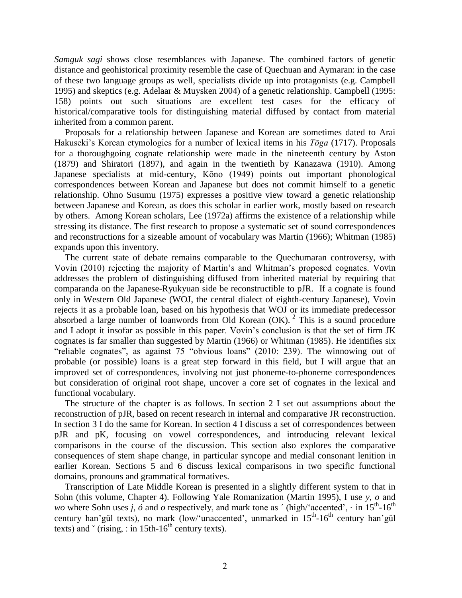*Samguk sagi* shows close resemblances with Japanese. The combined factors of genetic distance and geohistorical proximity resemble the case of Quechuan and Aymaran: in the case of these two language groups as well, specialists divide up into protagonists (e.g. Campbell 1995) and skeptics (e.g. Adelaar & Muysken 2004) of a genetic relationship. Campbell (1995: 158) points out such situations are excellent test cases for the efficacy of historical/comparative tools for distinguishing material diffused by contact from material inherited from a common parent.

Proposals for a relationship between Japanese and Korean are sometimes dated to Arai Hakuseki"s Korean etymologies for a number of lexical items in his *Tōga* (1717). Proposals for a thoroughgoing cognate relationship were made in the nineteenth century by Aston (1879) and Shiratori (1897), and again in the twentieth by Kanazawa (1910). Among Japanese specialists at mid-century, Kōno (1949) points out important phonological correspondences between Korean and Japanese but does not commit himself to a genetic relationship. Ohno Susumu (1975) expresses a positive view toward a genetic relationship between Japanese and Korean, as does this scholar in earlier work, mostly based on research by others. Among Korean scholars, Lee (1972a) affirms the existence of a relationship while stressing its distance. The first research to propose a systematic set of sound correspondences and reconstructions for a sizeable amount of vocabulary was Martin (1966); Whitman (1985) expands upon this inventory.

The current state of debate remains comparable to the Quechumaran controversy, with Vovin (2010) rejecting the majority of Martin"s and Whitman"s proposed cognates. Vovin addresses the problem of distinguishing diffused from inherited material by requiring that comparanda on the Japanese-Ryukyuan side be reconstructible to pJR. If a cognate is found only in Western Old Japanese (WOJ, the central dialect of eighth-century Japanese), Vovin rejects it as a probable loan, based on his hypothesis that WOJ or its immediate predecessor absorbed a large number of loanwords from Old Korean (OK).<sup>2</sup> This is a sound procedure and I adopt it insofar as possible in this paper. Vovin's conclusion is that the set of firm JK cognates is far smaller than suggested by Martin (1966) or Whitman (1985). He identifies six "reliable cognates", as against 75 "obvious loans" (2010: 239). The winnowing out of probable (or possible) loans is a great step forward in this field, but I will argue that an improved set of correspondences, involving not just phoneme-to-phoneme correspondences but consideration of original root shape, uncover a core set of cognates in the lexical and functional vocabulary.

The structure of the chapter is as follows. In section 2 I set out assumptions about the reconstruction of pJR, based on recent research in internal and comparative JR reconstruction. In section 3 I do the same for Korean. In section 4 I discuss a set of correspondences between pJR and pK, focusing on vowel correspondences, and introducing relevant lexical comparisons in the course of the discussion. This section also explores the comparative consequences of stem shape change, in particular syncope and medial consonant lenition in earlier Korean. Sections 5 and 6 discuss lexical comparisons in two specific functional domains, pronouns and grammatical formatives.

Transcription of Late Middle Korean is presented in a slightly different system to that in Sohn (this volume, Chapter 4). Following Yale Romanization (Martin 1995), I use *y*, *o* and *wo* where Sohn uses *j*,  $\acute{o}$  and  $\acute{o}$  respectively, and mark tone as  $\acute{o}$  (high/ $\acute{o}$  accented $\acute{o}$ ,  $\cdot$  in 15<sup>th</sup>-16<sup>th</sup> century han'gŭl texts), no mark (low/'unaccented', unmarked in 15<sup>th</sup>-16<sup>th</sup> century han'gŭl texts) and  $\check{ }$  (rising, : in 15th-16<sup>th</sup> century texts).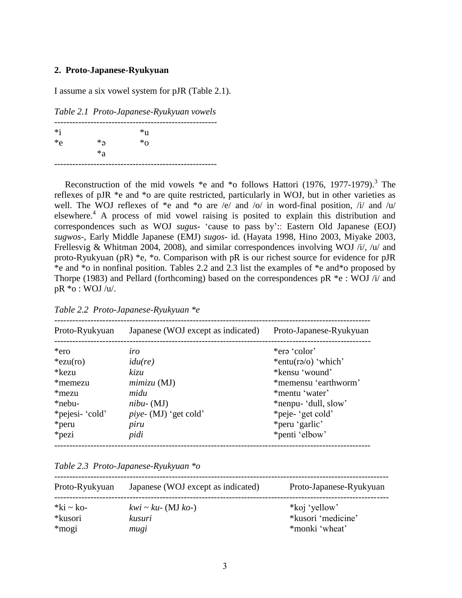#### **2. Proto-Japanese-Ryukyuan**

I assume a six vowel system for pJR (Table 2.1).

*Table 2.1 Proto-Japanese-Ryukyuan vowels*

| $*_{1}$ |              | *u           |
|---------|--------------|--------------|
| $e^*$   | $*_{\Theta}$ | $*_{\Omega}$ |
|         | $a^*a$       |              |
|         |              |              |

Reconstruction of the mid vowels  $*$ e and  $*$ o follows Hattori (1976, 1977-1979).<sup>3</sup> The reflexes of pJR \*e and \*o are quite restricted, particularly in WOJ, but in other varieties as well. The WOJ reflexes of \*e and \*o are /e/ and /o/ in word-final position, /i/ and /u/ elsewhere. <sup>4</sup> A process of mid vowel raising is posited to explain this distribution and correspondences such as WOJ *sugus-* "cause to pass by":: Eastern Old Japanese (EOJ) *sugwos*-, Early Middle Japanese (EMJ) *sugos*- id. (Hayata 1998, Hino 2003, Miyake 2003, Frellesvig & Whitman 2004, 2008), and similar correspondences involving WOJ /i/, /u/ and proto-Ryukyuan (pR) \*e, \*o. Comparison with pR is our richest source for evidence for pJR \*e and \*o in nonfinal position. Tables 2.2 and 2.3 list the examples of \*e and\*o proposed by Thorpe (1983) and Pellard (forthcoming) based on the correspondences  $pR *e : WOJ /i/d$  and pR \*o : WOJ /u/.

| Proto-Ryukyuan  | Japanese (WOJ except as indicated) | Proto-Japanese-Ryukyuan |  |
|-----------------|------------------------------------|-------------------------|--|
| *ero            | <i>uro</i>                         | *era 'color'            |  |
| $*$ ezu $(ro)$  | idu(re)                            | *entu(rə/o) 'which'     |  |
| *kezu           | kizu                               | *kensu 'wound'          |  |
| *memezu         | minizu(MJ)                         | *memensu 'earthworm'    |  |
| $*$ mezu        | midu                               | *mentu 'water'          |  |
| $*$ nebu-       | $nibu-(MJ)$                        | *nenpu- 'dull, slow'    |  |
| *pejesi- 'cold' | <i>piye-</i> (MJ) 'get cold'       | *peje- 'get cold'       |  |
| *peru           | piru                               | *peru 'garlic'          |  |
| *pezi           | pidi                               | *penti 'elbow'          |  |

*Table 2.2 Proto-Japanese-Ryukyuan \*e*

*Table 2.3 Proto-Japanese-Ryukyuan \*o*

| Proto-Ryukyuan       | Japanese (WOJ except as indicated)    | Proto-Japanese-Ryukyuan             |
|----------------------|---------------------------------------|-------------------------------------|
| *ki ~ ko-<br>*kusori | $kwi \sim ku$ - (MJ $ko$ -)<br>kusuri | *koj 'yellow'<br>*kusori 'medicine' |
| *mogi                | mugi                                  | *monki 'wheat'                      |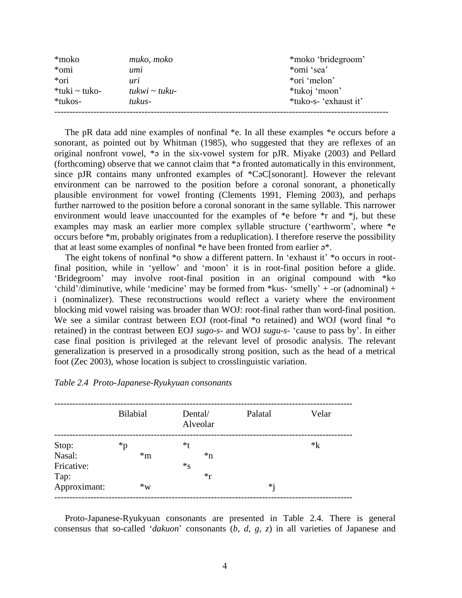| *moko         | muko, moko    | *moko 'bridegroom'    |
|---------------|---------------|-----------------------|
| *omi          | umi           | *omi 'sea'            |
| $*$ ori       | uri           | *ori 'melon'          |
| *tuki ~ tuko- | tukwi ~ tuku- | *tukoj 'moon'         |
| *tukos-       | tukus-        | *tuko-s- 'exhaust it' |
|               |               |                       |

The pR data add nine examples of nonfinal \*e. In all these examples \*e occurs before a sonorant, as pointed out by Whitman (1985), who suggested that they are reflexes of an original nonfront vowel, \*a in the six-vowel system for pJR. Miyake (2003) and Pellard (forthcoming) observe that we cannot claim that \*ǝ fronted automatically in this environment, since pJR contains many unfronted examples of \*CǝC[sonorant]. However the relevant environment can be narrowed to the position before a coronal sonorant, a phonetically plausible environment for vowel fronting (Clements 1991, Fleming 2003), and perhaps further narrowed to the position before a coronal sonorant in the same syllable. This narrower environment would leave unaccounted for the examples of \*e before \*r and \*j, but these examples may mask an earlier more complex syllable structure ('earthworm', where \*e occurs before \*m, probably originates from a reduplication). I therefore reserve the possibility that at least some examples of nonfinal \*e have been fronted from earlier  $a^*$ .

The eight tokens of nonfinal \*o show a different pattern. In 'exhaust it' \*o occurs in rootfinal position, while in "yellow" and "moon" it is in root-final position before a glide. "Bridegroom" may involve root-final position in an original compound with \*ko 'child'/diminutive, while 'medicine' may be formed from  $*$ kus- 'smelly' + -or (adnominal) + i (nominalizer). These reconstructions would reflect a variety where the environment blocking mid vowel raising was broader than WOJ: root-final rather than word-final position. We see a similar contrast between EOJ (root-final \*o retained) and WOJ (word final \*o retained) in the contrast between EOJ *sugo-s-* and WOJ *sugu-s-* "cause to pass by". In either case final position is privileged at the relevant level of prosodic analysis. The relevant generalization is preserved in a prosodically strong position, such as the head of a metrical foot (Zec 2003), whose location is subject to crosslinguistic variation.

|              | <b>Bilabial</b> | Dental/<br>Alveolar | Palatal | Velar   |
|--------------|-----------------|---------------------|---------|---------|
| Stop:        | ${}^*p$         | $*_{t}$             |         | $*_{k}$ |
| Nasal:       | $*_{m}$         | $*_{n}$             |         |         |
| Fricative:   |                 | $*_S$               |         |         |
| Tap:         |                 | $*_r$               |         |         |
| Approximant: | $*_{W}$         |                     | $*_1$   |         |
|              |                 |                     |         |         |

*Table 2.4 Proto-Japanese-Ryukyuan consonants*

Proto-Japanese-Ryukyuan consonants are presented in Table 2.4. There is general consensus that so-called "*dakuon*" consonants (*b*, *d*, *g*, *z*) in all varieties of Japanese and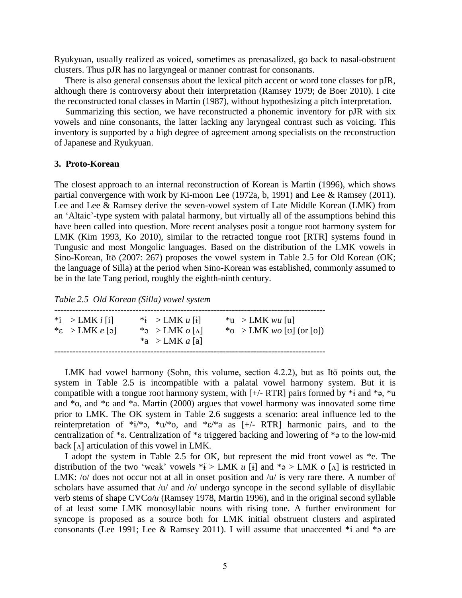Ryukyuan, usually realized as voiced, sometimes as prenasalized, go back to nasal-obstruent clusters. Thus pJR has no largyngeal or manner contrast for consonants.

There is also general consensus about the lexical pitch accent or word tone classes for pJR, although there is controversy about their interpretation (Ramsey 1979; de Boer 2010). I cite the reconstructed tonal classes in Martin (1987), without hypothesizing a pitch interpretation.

Summarizing this section, we have reconstructed a phonemic inventory for pJR with six vowels and nine consonants, the latter lacking any laryngeal contrast such as voicing. This inventory is supported by a high degree of agreement among specialists on the reconstruction of Japanese and Ryukyuan.

#### **3. Proto-Korean**

The closest approach to an internal reconstruction of Korean is Martin (1996), which shows partial convergence with work by Ki-moon Lee (1972a, b, 1991) and Lee & Ramsey (2011). Lee and Lee & Ramsey derive the seven-vowel system of Late Middle Korean (LMK) from an "Altaic"-type system with palatal harmony, but virtually all of the assumptions behind this have been called into question. More recent analyses posit a tongue root harmony system for LMK (Kim 1993, Ko 2010), similar to the retracted tongue root [RTR] systems found in Tungusic and most Mongolic languages. Based on the distribution of the LMK vowels in Sino-Korean, Itō (2007: 267) proposes the vowel system in Table 2.5 for Old Korean (OK; the language of Silla) at the period when Sino-Korean was established, commonly assumed to be in the late Tang period, roughly the eighth-ninth century.

*Table 2.5 Old Korean (Silla) vowel system*

| i > LMK i[i]<br>$*_\epsilon$ > LMK e [ə] | *i > LMK $u[i]$<br>* $\phi$ > LMK $\varrho$ [ $\Lambda$ ]<br>*a > LMK $a$ [a] | *u > LMK $wu$ [u]<br>*o > LMK $wo$ [v] (or [o]) |
|------------------------------------------|-------------------------------------------------------------------------------|-------------------------------------------------|
|                                          |                                                                               |                                                 |

LMK had vowel harmony (Sohn, this volume, section 4.2.2), but as Itō points out, the system in Table 2.5 is incompatible with a palatal vowel harmony system. But it is compatible with a tongue root harmony system, with  $[+/$ - RTR] pairs formed by \*i and \*a, \*u and \*o, and \*ε and \*a. Martin (2000) argues that vowel harmony was innovated some time prior to LMK. The OK system in Table 2.6 suggests a scenario: areal influence led to the reinterpretation of \*i/\*ə, \*u/\*o, and \* $\varepsilon$ /\*a as [+/- RTR] harmonic pairs, and to the centralization of \*ε. Centralization of \*ε triggered backing and lowering of \*ə to the low-mid back [ʌ] articulation of this vowel in LMK.

I adopt the system in Table 2.5 for OK, but represent the mid front vowel as \*e. The distribution of the two 'weak' vowels  $*_i$  > LMK  $u$  [i] and  $*_i$  > LMK  $o$  [A] is restricted in LMK:  $\frac{1}{2}$  does not occur not at all in onset position and  $\frac{1}{4}$  is very rare there. A number of scholars have assumed that /u/ and /o/ undergo syncope in the second syllable of disyllabic verb stems of shape CVC*o/u* (Ramsey 1978, Martin 1996), and in the original second syllable of at least some LMK monosyllabic nouns with rising tone. A further environment for syncope is proposed as a source both for LMK initial obstruent clusters and aspirated consonants (Lee 1991; Lee & Ramsey 2011). I will assume that unaccented  $*$ i and  $*$ a are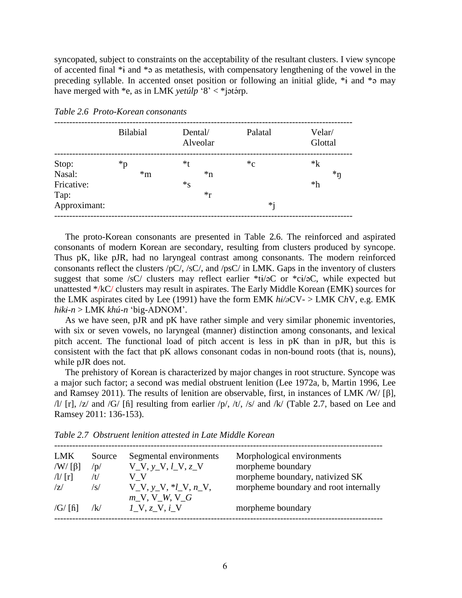syncopated, subject to constraints on the acceptability of the resultant clusters. I view syncope of accented final \*ɨ and \*ə as metathesis, with compensatory lengthening of the vowel in the preceding syllable. In accented onset position or following an initial glide, \*ɨ and \*ə may have merged with \*e, as in LMK *yetúlp* '8' < \*jətənp.

|              | <b>Bilabial</b> | Dental/<br>Alveolar | Palatal | Velar/<br>Glottal |
|--------------|-----------------|---------------------|---------|-------------------|
| Stop:        | $*_{p}$         | *t                  | $C^*$   | $*_{k}$           |
| Nasal:       | $*_{m}$         | $*_{n}$             |         | $*_{\eta}$        |
| Fricative:   |                 | $*_S$               |         | $\mathbf{h}^*$    |
| Tap:         |                 | $*_r$               |         |                   |
| Approximant: |                 |                     | $*$     |                   |

*Table 2.6 Proto-Korean consonants*

The proto-Korean consonants are presented in Table 2.6. The reinforced and aspirated consonants of modern Korean are secondary, resulting from clusters produced by syncope. Thus pK, like pJR, had no laryngeal contrast among consonants. The modern reinforced consonants reflect the clusters /pC/, /sC/, and /psC/ in LMK. Gaps in the inventory of clusters suggest that some /sC/ clusters may reflect earlier  $*ti/5C$  or  $*ci/5C$ , while expected but unattested \*/kC/ clusters may result in aspirates. The Early Middle Korean (EMK) sources for the LMK aspirates cited by Lee (1991) have the form EMK *hɨ/ə*CV- > LMK C*h*V, e.g. EMK *hɨkɨ-n* > LMK *khú-n* "big-ADNOM".

As we have seen, pJR and pK have rather simple and very similar phonemic inventories, with six or seven vowels, no laryngeal (manner) distinction among consonants, and lexical pitch accent. The functional load of pitch accent is less in pK than in pJR, but this is consistent with the fact that pK allows consonant codas in non-bound roots (that is, nouns), while pJR does not.

The prehistory of Korean is characterized by major changes in root structure. Syncope was a major such factor; a second was medial obstruent lenition (Lee 1972a, b, Martin 1996, Lee and Ramsey 2011). The results of lenition are observable, first, in instances of LMK /W/ [ $\beta$ ],  $/$ l/ [r],  $/z$  and  $/G$  [fi] resulting from earlier  $/p/$ ,  $/t/$ ,  $/s/$  and  $/k/$  (Table 2.7, based on Lee and Ramsey 2011: 136-153).

| LMK<br>$/W/[{\beta}]$<br>$\frac{\pi}{r}$<br> 7 | Source<br>/p/<br>/t/<br>/S/ | Segmental environments<br>$V_V, y_V, l_V, z_V$<br>V V<br>$V_{V}$ , $y_{V}$ , $*l_{V}$ , $n_{V}$ ,<br>$m$ <sup>V</sup> , V <sub></sub> <sup>W</sup> , V <sub></sub> <sup>G</sup> | Morphological environments<br>morpheme boundary<br>morpheme boundary, nativized SK<br>morpheme boundary and root internally |
|------------------------------------------------|-----------------------------|---------------------------------------------------------------------------------------------------------------------------------------------------------------------------------|-----------------------------------------------------------------------------------------------------------------------------|
| $/G/[f_1]$                                     | $\sqrt{k}$                  | $1$ _V, $z$ _V, $i$ _V                                                                                                                                                          | morpheme boundary                                                                                                           |

*Table 2.7 Obstruent lenition attested in Late Middle Korean*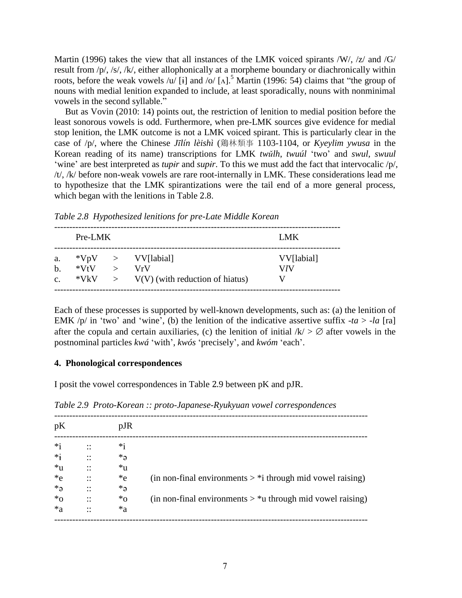Martin (1996) takes the view that all instances of the LMK voiced spirants /W/,  $\frac{z}{z}$  and /G/ result from /p/, /s/, /k/, either allophonically at a morpheme boundary or diachronically within roots, before the weak vowels /u/ [i] and /o/ [ $\Lambda$ ].<sup>5</sup> Martin (1996: 54) claims that "the group of nouns with medial lenition expanded to include, at least sporadically, nouns with nonminimal vowels in the second syllable."

But as Vovin (2010: 14) points out, the restriction of lenition to medial position before the least sonorous vowels is odd. Furthermore, when pre-LMK sources give evidence for medial stop lenition, the LMK outcome is not a LMK voiced spirant. This is particularly clear in the case of /p/, where the Chinese *Jīlín lèishì* (鶏林類事 1103-1104, or *Kyeylim ywusa* in the Korean reading of its name) transcriptions for LMK *twǔlh*, *twuúl* "two" and *swul*, *swuul* 'wine' are best interpreted as *tupir* and *supir*. To this we must add the fact that intervocalic /p/, /t/, /k/ before non-weak vowels are rare root-internally in LMK. These considerations lead me to hypothesize that the LMK spirantizations were the tail end of a more general process, which began with the lenitions in Table 2.8.

*Table 2.8 Hypothesized lenitions for pre-Late Middle Korean*

|                | Pre-LMK |               | <b>LMK</b>                               |            |
|----------------|---------|---------------|------------------------------------------|------------|
| a.             |         |               | $*VpV > VV[labial]$                      | VV[labial] |
| $b$            | $*VtV$  | $\rightarrow$ | <b>VrV</b>                               | VIV        |
| $\mathbf{c}$ . |         |               | *VkV $>$ V(V) (with reduction of hiatus) | v          |

Each of these processes is supported by well-known developments, such as: (a) the lenition of EMK /p/ in 'two' and 'wine', (b) the lenition of the indicative assertive suffix  $-ta > -la$  [ra] after the copula and certain auxiliaries, (c) the lenition of initial  $/k > \emptyset$  after vowels in the postnominal particles *kwá* "with", *kwós* "precisely", and *kwóm* "each".

#### **4. Phonological correspondences**

I posit the vowel correspondences in Table 2.9 between pK and pJR.

| pK               |                                              | pJR              |                                                              |
|------------------|----------------------------------------------|------------------|--------------------------------------------------------------|
| $*_1$            | $\ddot{\phantom{0}}$<br>$\ddot{\phantom{0}}$ | $*_1$            |                                                              |
| $*_{\mathbf{i}}$ | $\cdot$ .<br>$\cdot$ .                       | *ə               |                                                              |
| $*_{\mathbf{u}}$ | $\ddot{\phantom{0}}$<br>$\cdot$ .            | *u               |                                                              |
| $e^*$            | $\cdot$ .<br>. .                             | $*_{e}$          | (in non-final environments $>$ *i through mid vowel raising) |
| $*_{\Theta}$     | $\ddot{\phantom{0}}$<br>$\ddot{\phantom{0}}$ | *ə               |                                                              |
| $*_{0}$          | $\cdot$ .<br>$\ddot{\phantom{0}}$            | $*_{\mathrm{O}}$ | (in non-final environments $>$ *u through mid vowel raising) |
| $a^*a$           | $\ddot{\phantom{0}}$<br>. .                  | $a^*$            |                                                              |

*Table 2.9 Proto-Korean :: proto-Japanese-Ryukyuan vowel correspondences*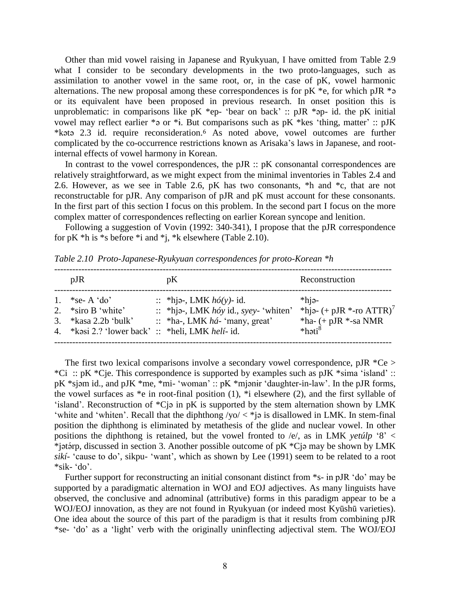Other than mid vowel raising in Japanese and Ryukyuan, I have omitted from Table 2.9 what I consider to be secondary developments in the two proto-languages, such as assimilation to another vowel in the same root, or, in the case of pK, vowel harmonic alternations. The new proposal among these correspondences is for  $pK *e$ , for which  $pJR *a$ or its equivalent have been proposed in previous research. In onset position this is unproblematic: in comparisons like pK \*ep- 'bear on back' :: pJR \*əp- id. the pK initial vowel may reflect earlier \*a or \*i. But comparisons such as  $pK$  \*kes 'thing, matter' ::  $pJK$ \*kətə 2.3 id. require reconsideration.<sup>6</sup> As noted above, vowel outcomes are further complicated by the co-occurrence restrictions known as Arisaka"s laws in Japanese, and rootinternal effects of vowel harmony in Korean.

In contrast to the vowel correspondences, the pJR :: pK consonantal correspondences are relatively straightforward, as we might expect from the minimal inventories in Tables 2.4 and 2.6. However, as we see in Table 2.6, pK has two consonants, \*h and \*c, that are not reconstructable for pJR. Any comparison of pJR and pK must account for these consonants. In the first part of this section I focus on this problem. In the second part I focus on the more complex matter of correspondences reflecting on earlier Korean syncope and lenition.

Following a suggestion of Vovin (1992: 340-341), I propose that the pJR correspondence for pK  $*$ h is  $*$ s before  $*$ i and  $*$ j,  $*$ k elsewhere (Table 2.10).

| pJR                                                                                                                                | pK.                                                                                                                                                                 | Reconstruction                                                                      |
|------------------------------------------------------------------------------------------------------------------------------------|---------------------------------------------------------------------------------------------------------------------------------------------------------------------|-------------------------------------------------------------------------------------|
| 1. *se- $A'$ do'<br>2. $* \text{siro } B$ 'white'<br>3. $*$ kasa 2.2b 'bulk'<br>4. * kasi 2.? 'lower back' :: * heli, LMK heli-id. | $\therefore$ *hjə-, LMK $h\acute{o}(y)$ - id.<br>$\therefore$ *hja-, LMK <i>hóy</i> id., <i>syey</i> - 'whiten'<br>$\therefore$ *ha-, LMK <i>há</i> - 'many, great' | *hjə-<br>*hjə- (+ pJR *-ro $ATTR$ ) <sup>7</sup><br>*ha- (+ pJR *-sa NMR *həti $^8$ |

*Table 2.10 Proto-Japanese-Ryukyuan correspondences for proto-Korean \*h*

The first two lexical comparisons involve a secondary vowel correspondence,  $p$ JR  $^*Ce$  > \*Ci :: pK \*Cje. This correspondence is supported by examples such as  $pJK$  \*sima 'island' :: pK \*sjǝm id., and pJK \*me, \*mi- 'woman' :: pK \*mjǝnɨr 'daughter-in-law'. In the pJR forms, the vowel surfaces as \*e in root-final position (1), \*i elsewhere (2), and the first syllable of 'island'. Reconstruction of \*Cjǝ in pK is supported by the stem alternation shown by LMK 'white and 'whiten'. Recall that the diphthong  $\gamma$ o/ < \*jǝ is disallowed in LMK. In stem-final position the diphthong is eliminated by metathesis of the glide and nuclear vowel. In other positions the diphthong is retained, but the vowel fronted to /e/, as in LMK *yetúlp* "8" < \*jətərp, discussed in section 3. Another possible outcome of pK \*Cjə may be shown by LMK *sikí-* "cause to do", sikpu- "want", which as shown by Lee (1991) seem to be related to a root  $*$ sik- 'do'.

Further support for reconstructing an initial consonant distinct from  $*$ s- in pJR 'do' may be supported by a paradigmatic alternation in WOJ and EOJ adjectives. As many linguists have observed, the conclusive and adnominal (attributive) forms in this paradigm appear to be a WOJ/EOJ innovation, as they are not found in Ryukyuan (or indeed most Kyūshū varieties). One idea about the source of this part of the paradigm is that it results from combining pJR \*se- "do" as a "light" verb with the originally uninflecting adjectival stem. The WOJ/EOJ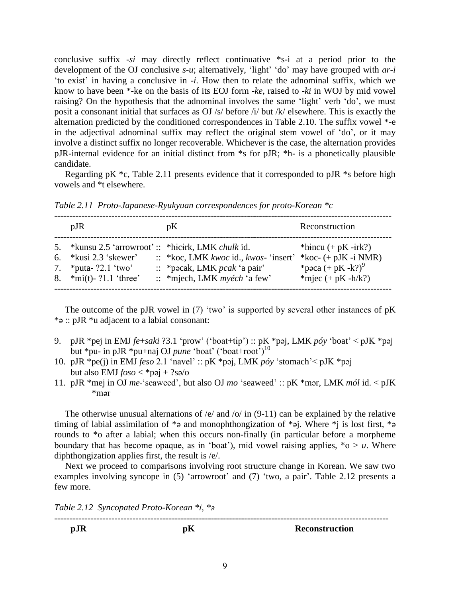conclusive suffix *-si* may directly reflect continuative \*s-i at a period prior to the development of the OJ conclusive *s-u*; alternatively, 'light' 'do' may have grouped with *ar-i* "to exist" in having a conclusive in *-i*. How then to relate the adnominal suffix, which we know to have been \*-ke on the basis of its EOJ form -*ke*, raised to -*ki* in WOJ by mid vowel raising? On the hypothesis that the adnominal involves the same 'light' verb 'do', we must posit a consonant initial that surfaces as OJ /s/ before /i/ but /k/ elsewhere. This is exactly the alternation predicted by the conditioned correspondences in Table 2.10. The suffix vowel \*-e in the adjectival adnominal suffix may reflect the original stem vowel of "do", or it may involve a distinct suffix no longer recoverable. Whichever is the case, the alternation provides pJR-internal evidence for an initial distinct from \*s for pJR; \*h- is a phonetically plausible candidate.

Regarding pK  $*c$ , Table 2.11 presents evidence that it corresponded to pJR  $*$ s before high vowels and \*t elsewhere.

*Table 2.11**Proto-Japanese-Ryukyuan correspondences for proto-Korean \*c*

|          | pJR                                                                        | pK                                                                                                                                                                                                   | Reconstruction                                                                                               |
|----------|----------------------------------------------------------------------------|------------------------------------------------------------------------------------------------------------------------------------------------------------------------------------------------------|--------------------------------------------------------------------------------------------------------------|
| 5.<br>6. | *kusi 2.3 'skewer'<br>7. $*puta- ?2.1$ 'two'<br>8. $*mi(t)$ - ?1.1 'three' | *kunsu 2.5 'arrowroot':: *hicirk, LMK chulk id.<br>$\therefore$ *koc, LMK kwoc id., kwos- 'insert'<br>$\therefore$ *pacak, LMK <i>pcak</i> 'a pair'<br>$\therefore$ *mjech, LMK <i>myéch</i> 'a few' | *hincu $(+ pK - irk?)$<br>*koc- $(+$ pJK -i NMR)<br>*paca $(+$ pK -k?) <sup>9</sup><br>*mjec $(+ pK - h/k?)$ |

The outcome of the pJR vowel in  $(7)$  'two' is supported by several other instances of pK \*ǝ :: pJR \*u adjacent to a labial consonant:

- 9. pJR \*pej in EMJ *fe*+*saki* ?3.1 "prow" ("boat+tip") :: pK \*pǝj, LMK *póy* "boat" < pJK \*pǝj but \*pu- in pJR \*pu+naj OJ *pune* 'boat' ('boat+root')<sup>10</sup>
- 10. pJR \*pe(j) in EMJ *feso* 2.1 "navel" :: pK \*pǝj, LMK *póy* "stomach"< pJK \*pǝj but also EMJ  $f$ *oso* < \*pǝj + ?sǝ/o
- 11. pJR \*mej in OJ *me* "seaweed", but also OJ *mo* "seaweed" :: pK \*mǝr, LMK *mól* id. < pJK \*mǝr

The otherwise unusual alternations of /e/ and /o/ in  $(9-11)$  can be explained by the relative timing of labial assimilation of \*ǝ and monophthongization of \*ǝj. Where \*j is lost first, \*ǝ rounds to \*o after a labial; when this occurs non-finally (in particular before a morpheme boundary that has become opaque, as in 'boat'), mid vowel raising applies,  $\ast$ o > *u*. Where diphthongization applies first, the result is /e/.

Next we proceed to comparisons involving root structure change in Korean. We saw two examples involving syncope in (5) 'arrowroot' and (7) 'two, a pair'. Table 2.12 presents a few more.

---------------------------------------------------------------------------------------------------------------

*Table 2.12 Syncopated Proto-Korean \*ɨ, \*ǝ*

| × | ۰. |  |
|---|----|--|

**pJR pK Reconstruction**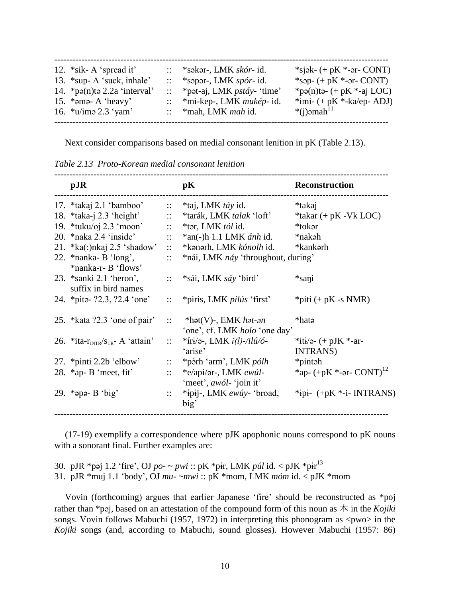| 12. *sik-A 'spread it'                                                       | $\therefore$ *səkər-, LMK skór- id.                                                    | $*$ sjək- (+ pK $*$ -ər- CONT)<br>$*$ səp- (+ pK $*$ -ər- CONT) |
|------------------------------------------------------------------------------|----------------------------------------------------------------------------------------|-----------------------------------------------------------------|
| 13. *sup-A 'suck, inhale'<br>14. *p $\varphi$ (n)t $\varphi$ 2.2a 'interval' | $\therefore$ *sapar-, LMK spór- id.<br>$\therefore$ *pət-aj, LMK <i>pstáy</i> - 'time' | *pa(n)ta- $(+$ pK *-aj LOC)                                     |
| 15. *ama- $A$ 'heavy'                                                        | $\therefore$ *mi-kep-, LMK mukép-id.                                                   | $*imi$ - (+ pK $*$ -ka/ep- ADJ)                                 |
| 16. $\text{*u}/\text{im}$ 2.3 'yam'                                          | $\therefore$ *mah, LMK <i>mah</i> id.                                                  | *(j) $\mathsf{a}$ mah <sup>11</sup>                             |
|                                                                              |                                                                                        |                                                                 |

Next consider comparisons based on medial consonant lenition in pK (Table 2.13).

*Table 2.13 Proto-Korean medial consonant lenition*

| pJR                                                   |                        | pK                                                           | <b>Reconstruction</b>                      |
|-------------------------------------------------------|------------------------|--------------------------------------------------------------|--------------------------------------------|
| 17. $*$ takaj 2.1 'bamboo'                            | $\mathbb{H}^+$         | *taj, LMK <i>táy</i> id.                                     | *takaj                                     |
| 18. $*$ taka-j 2.3 'height'                           | $\vdots$               | *tarák, LMK talak 'loft'                                     | *takar $(+ pK - Vk LOC)$                   |
| 19. *tuku/oj 2.3 'moon'                               | $\mathbb{R}^{\bullet}$ | *tər, LMK tól id.                                            | *tokar                                     |
| 20. $*$ naka 2.4 'inside'                             | $\vdots$               | *an(-)h 1.1 LMK <i>ánh</i> id.                               | *nakəh                                     |
| 21. $*ka$ :)nkaj 2.5 'shadow'                         | $\mathbb{R}^2$         | *kanarh, LMK kónolh id.                                      | *kankərh                                   |
| 22. $*$ nanka-B 'long',<br>*nanka-r- B 'flows'        | $\mathbb{R}^{\bullet}$ | *nái, LMK nǎy 'throughout, during'                           |                                            |
| 23. *sanki 2.1 'heron',<br>suffix in bird names       | $\mathbb{R}^2$         | *sái, LMK sǎy 'bird'                                         | *sani                                      |
| 24. *pita- ?2.3, ?2.4 'one'                           | $\mathbb{Z}^+$         | *piris, LMK pilús 'first'                                    | $*$ piti (+ pK -s NMR)                     |
| 25. *kata ?2.3 'one of pair'                          | $\mathbb{R}^2$         | *hət(V)-, EMK <i>hət-ən</i><br>'one', cf. LMK holo 'one day' | *hatə                                      |
| 26. *ita- $r_{\text{NTR}}/s_{\text{TR}}$ - A 'attain' | $\mathbb{R}$           | *íri/ə-, LMK $i(l)$ -/ilú/ó-<br>'arise'                      | *iti/ə- $(+$ pJK *-ar-<br><b>INTRANS</b> ) |
| 27. *pinti 2.2b 'elbow'                               | $\mathbb{N}$           | *párh 'arm', LMK pólh                                        | *pintah                                    |
| 28. $*ap - B$ 'meet, fit'                             | $\mathbf{::}$          | *e/api/ər-, LMK ewúl-<br>'meet', awól- 'join it'             | *ap- $(+pK * -qr - CONT)^{12}$             |
| 29. *apa- B 'big'                                     | $\mathbb{R}$           | *ípij-, LMK $ew\'{u}y$ - 'broad,<br>big'                     | $*ipi- (+pK *-i- INTRANS)$                 |

(17-19) exemplify a correspondence where pJK apophonic nouns correspond to pK nouns with a sonorant final. Further examples are:

30. pJR \*pǝj 1.2 "fire", OJ *po*- ~ *pwi* :: pK \*pɨr, LMK *púl* id. < pJK \*pɨr 13 31. pJR \*muj 1.1 "body", OJ *mu*- ~*mwi* :: pK \*mom, LMK *móm* id. < pJK \*mom

Vovin (forthcoming) argues that earlier Japanese "fire" should be reconstructed as \*poj rather than \*pǝj, based on an attestation of the compound form of this noun as  $\ddot{\text{A}}$  in the *Kojiki* songs. Vovin follows Mabuchi (1957, 1972) in interpreting this phonogram as  $\langle p w \rangle$  in the *Kojiki* songs (and, according to Mabuchi, sound glosses). However Mabuchi (1957: 86)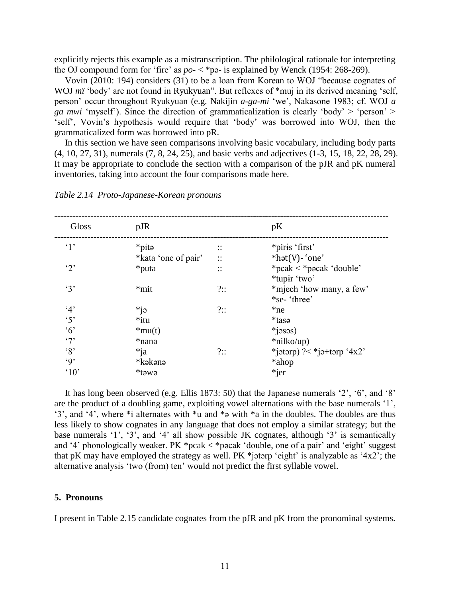explicitly rejects this example as a mistranscription. The philological rationale for interpreting the OJ compound form for 'fire' as  $po - \langle \n\begin{array}{c} \n\text{#p} \n\end{array}$ - is explained by Wenck (1954: 268-269).

Vovin (2010: 194) considers (31) to be a loan from Korean to WOJ "because cognates of WOJ *m*i 'body' are not found in Ryukyuan". But reflexes of \*muj in its derived meaning 'self, person" occur throughout Ryukyuan (e.g. Nakijin *a-ga-mi* "we", Nakasone 1983; cf. WOJ *a ga mwi* 'myself'). Since the direction of grammaticalization is clearly 'body' > 'person' > "self", Vovin"s hypothesis would require that "body" was borrowed into WOJ, then the grammaticalized form was borrowed into pR.

In this section we have seen comparisons involving basic vocabulary, including body parts (4, 10, 27, 31), numerals (7, 8, 24, 25), and basic verbs and adjectives (1-3, 15, 18, 22, 28, 29). It may be appropriate to conclude the section with a comparison of the pJR and pK numeral inventories, taking into account the four comparisons made here.

| Gloss                | pJR                 |                             | pK                                                |
|----------------------|---------------------|-----------------------------|---------------------------------------------------|
| $\lq 1$              | *pita               | . .<br>$\ddot{\phantom{0}}$ | *piris 'first'                                    |
|                      | *kata 'one of pair' | $\cdot \cdot$<br>$\cdot$ .  | $*hat(V)$ - 'one'                                 |
| '2'                  | *puta               | . .<br>. .                  | *pcak < *p $\alpha$ ecak 'double'<br>*tupir 'two' |
| 3'                   | *mit                | $?$ ::                      | *mjech 'how many, a few'<br>*se-'three'           |
| 4'                   | $*j$                | $?$ ::                      | $*ne$                                             |
| $\mathfrak{S}$       | *itu                |                             | *tasə                                             |
| $\mathcal{L}$        | $*mu(t)$            |                             | $*$ jəsəs)                                        |
| $\cdot$ 7'           | *nana               |                             | $*niko(up)$                                       |
| $\lq 8$              | $*ja$               | $?$ ::                      | *jətərp) ?< *jə+tərp '4x2'                        |
| $\cdot$ 9'           | *kəkənə             |                             | *ahop                                             |
| $^{\circ}10^{\circ}$ | *təwə               |                             | *jer                                              |

*Table 2.14 Proto-Japanese-Korean pronouns*

It has long been observed (e.g. Ellis 1873: 50) that the Japanese numerals "2", "6", and "8" are the product of a doubling game, exploiting vowel alternations with the base numerals "1", "3", and "4", where \*i alternates with \*u and \*a with \*a in the doubles. The doubles are thus less likely to show cognates in any language that does not employ a similar strategy; but the base numerals  $\langle 1, \langle 3 \rangle$ , and  $\langle 4 \rangle$  all show possible JK cognates, although  $\langle 3 \rangle$  is semantically and '4' phonologically weaker. PK  $*$  pcak  $<$  \*pəcak 'double, one of a pair' and 'eight' suggest that pK may have employed the strategy as well. PK \*jǝtǝrp 'eight' is analyzable as ' $4x2$ '; the alternative analysis "two (from) ten" would not predict the first syllable vowel.

#### **5. Pronouns**

I present in Table 2.15 candidate cognates from the pJR and pK from the pronominal systems.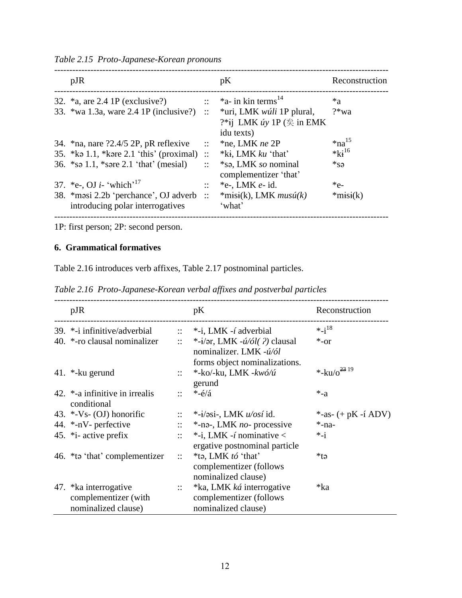| pJR                                                |                        | pK                                    | Reconstruction  |
|----------------------------------------------------|------------------------|---------------------------------------|-----------------|
| 32. $*$ a, are 2.4 1P (exclusive?)                 | $\mathbb{R}^2$         | $*a$ - in kin terms <sup>14</sup>     | $a^*a$          |
| 33. *wa 1.3a, ware 2.4 1P (inclusive?)             | $\mathbb{R}^{\bullet}$ | *uri, LMK <i>wúli</i> 1P plural,      | $?^*$ wa        |
|                                                    |                        | ?*ij LMK $\nu y$ 1P ( $\notin$ in EMK |                 |
|                                                    |                        | idu texts)                            |                 |
| 34. * na, nare ?2.4/5 2P, pR reflexive             |                        | $\therefore$ *ne, LMK ne 2P           | $*na15$         |
| 35. * ka $1.1$ , * kare $2.1$ 'this' (proximal) :: |                        | $*ki$ , LMK $ku$ 'that'               | $*{ki}^{16}$    |
| 36. *sa 1.1, *sare 2.1 'that' (mesial)             | $\mathbb{R}^{\bullet}$ | *sə, LMK so nominal                   | $*_{\text{SQ}}$ |
|                                                    |                        | complementizer 'that'                 |                 |
| 37. *e-, OJ $i$ - 'which' <sup>17</sup>            | $\mathbb{R}^2$         | $*e$ -, LMK $e$ - id.                 | $*_e$ -         |
| 38. *masi 2.2b 'perchance', OJ adverb ::           |                        | $*$ misi(k), LMK <i>musú(k)</i>       | $*misi(k)$      |
| introducing polar interrogatives                   |                        | 'what'                                |                 |

*Table 2.15 Proto-Japanese-Korean pronouns*

1P: first person; 2P: second person.

## **6. Grammatical formatives**

Table 2.16 introduces verb affixes, Table 2.17 postnominal particles.

|  | Table 2.16 Proto-Japanese-Korean verbal affixes and postverbal particles |  |  |  |
|--|--------------------------------------------------------------------------|--|--|--|
|  |                                                                          |  |  |  |

| pJR                                                                  |                | pK                                                                                                      | Reconstruction               |
|----------------------------------------------------------------------|----------------|---------------------------------------------------------------------------------------------------------|------------------------------|
| 39. $*$ -i infinitive/adverbial                                      |                | $\therefore$ *-i, LMK - <i>i</i> adverbial                                                              | $*_{-1}^{18}$                |
| 40. *-ro clausal nominalizer                                         | $\mathbb{R}^2$ | *-i/ər, LMK - $\hat{u}/\hat{ol}$ (2) clausal<br>nominalizer. LMK -ú/ól<br>forms object nominalizations. | $*$ -or                      |
| 41. *- ku gerund                                                     | $\mathbb{R}^n$ | $*$ -ko/-ku, LMK - $kw\acute{o}/\acute{u}$<br>gerund                                                    | *- $ku/o^{23}$ <sup>19</sup> |
| 42. $*$ -a infinitive in irrealis<br>conditional                     | $\mathbf{H}$   | $-$ é/á                                                                                                 | *-a                          |
| 43. *- $Vs$ - (OJ) honorific                                         | $\mathbb{R}^+$ | *-i/əsi-, LMK $u$ /osí id.                                                                              | *-as- $(+pK - i ADV)$        |
| 44. *-nV- perfective                                                 |                | $\therefore$ *-n <sub>2</sub> -, LMK <i>no</i> - processive                                             | $*$ -na-                     |
| 45. $\ast$ i- active prefix                                          | $\mathbb{R}^2$ | *-i, LMK - <i>i</i> nominative $\lt$<br>ergative postnominal particle                                   | $*_{-1}$                     |
| 46. *ta 'that' complementizer                                        | $\mathbb{R}^2$ | $*$ ta, LMK tó 'that'<br>complementizer (follows<br>nominalized clause)                                 | *tə                          |
| 47. *ka interrogative<br>complementizer (with<br>nominalized clause) | $\mathbb{R}^n$ | *ka, LMK ká interrogative<br>complementizer (follows<br>nominalized clause)                             | *ka                          |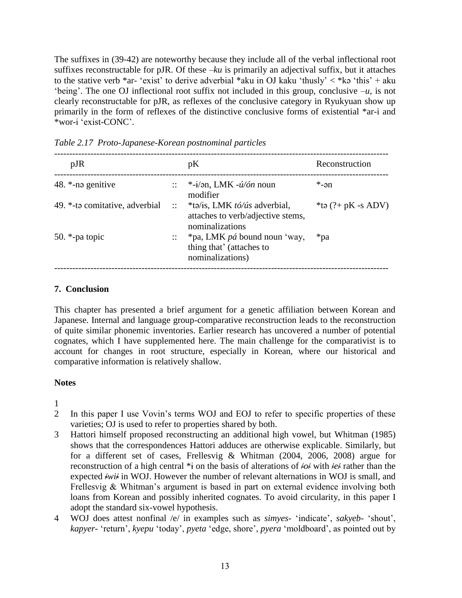The suffixes in (39-42) are noteworthy because they include all of the verbal inflectional root suffixes reconstructable for pJR. Of these *–ku* is primarily an adjectival suffix, but it attaches to the stative verb \*ar- 'exist' to derive adverbial \*aku in OJ kaku 'thusly'  $\lt^*$ kǝ 'this' + aku "being". The one OJ inflectional root suffix not included in this group, conclusive  $-u$ , is not clearly reconstructable for pJR, as reflexes of the conclusive category in Ryukyuan show up primarily in the form of reflexes of the distinctive conclusive forms of existential \*ar-i and \*wor-i "exist-CONC".

| pJR                            | pK                                                                                                       | Reconstruction         |
|--------------------------------|----------------------------------------------------------------------------------------------------------|------------------------|
| 48. $*$ -na genitive           | $\therefore$ *-i/ən, LMK - <i>ú/ón</i> noun<br>modifier                                                  | *-an                   |
| 49. *-ta comitative, adverbial | $\therefore$ *tə/is, LMK <i>tó/ús</i> adverbial,<br>attaches to verb/adjective stems,<br>nominalizations | *ta $(? + pK - s ADV)$ |
| 50. $*$ -pa topic              | *pa, LMK <i>pá</i> bound noun 'way,<br>thing that' (attaches to<br>nominalizations)                      | *pa                    |
|                                |                                                                                                          |                        |

*Table 2.17 Proto-Japanese-Korean postnominal particles*

## **7. Conclusion**

This chapter has presented a brief argument for a genetic affiliation between Korean and Japanese. Internal and language group-comparative reconstruction leads to the reconstruction of quite similar phonemic inventories. Earlier research has uncovered a number of potential cognates, which I have supplemented here. The main challenge for the comparativist is to account for changes in root structure, especially in Korean, where our historical and comparative information is relatively shallow.

## **Notes**

1

- 2 In this paper I use Vovin"s terms WOJ and EOJ to refer to specific properties of these varieties; OJ is used to refer to properties shared by both.
- 3 Hattori himself proposed reconstructing an additional high vowel, but Whitman (1985) shows that the correspondences Hattori adduces are otherwise explicable. Similarly, but for a different set of cases, Frellesvig & Whitman (2004, 2006, 2008) argue for reconstruction of a high central \*i on the basis of alterations of  $\neq \emptyset$  with  $\neq e\neq$  rather than the expected  $\neq$ *wi* $\neq$  in WOJ. However the number of relevant alternations in WOJ is small, and Frellesvig & Whitman's argument is based in part on external evidence involving both loans from Korean and possibly inherited cognates. To avoid circularity, in this paper I adopt the standard six-vowel hypothesis.
- 4 WOJ does attest nonfinal /e/ in examples such as *simyes-* "indicate", *sakyeb-* "shout", *kapyer-* "return", *kyepu* "today", *pyeta* "edge, shore", *pyera* "moldboard", as pointed out by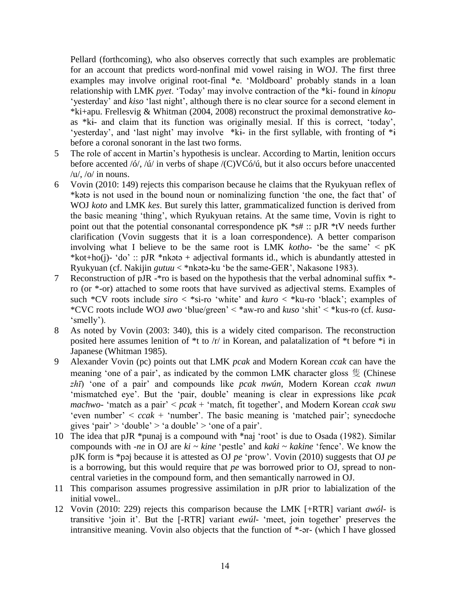Pellard (forthcoming), who also observes correctly that such examples are problematic for an account that predicts word-nonfinal mid vowel raising in WOJ. The first three examples may involve original root-final \*e. 'Moldboard' probably stands in a loan relationship with LMK *pyet*. "Today" may involve contraction of the \*ki- found in *kinopu* "yesterday" and *kiso* "last night", although there is no clear source for a second element in \*ki+apu. Frellesvig & Whitman (2004, 2008) reconstruct the proximal demonstrative *ko*as \*kɨ- and claim that its function was originally mesial. If this is correct, "today", "yesterday", and "last night" may involve  $*k\mathbf{i}$ - in the first syllable, with fronting of  $* \mathbf{i}$ before a coronal sonorant in the last two forms.

- 5 The role of accent in Martin"s hypothesis is unclear. According to Martin, lenition occurs before accented /ó/, /ú/ in verbs of shape /(C)VCó/ú, but it also occurs before unaccented  $/u/$ ,  $/o/$  in nouns.
- 6 Vovin (2010: 149) rejects this comparison because he claims that the Ryukyuan reflex of \*kətə is not used in the bound noun or nominalizing function "the one, the fact that" of WOJ *koto* and LMK *kes*. But surely this latter, grammaticalized function is derived from the basic meaning "thing", which Ryukyuan retains. At the same time, Vovin is right to point out that the potential consonantal correspondence  $pK$  \*s# ::  $pJR$  \*tV needs further clarification (Vovin suggests that it is a loan correspondence). A better comparison involving what I believe to be the same root is LMK *kotho*- 'be the same'  $\lt pK$ \*kot+ho(j)- 'do' :: pJR \*nkətə + adjectival formants id., which is abundantly attested in Ryukyuan (cf. Nakijin *gutuu* < \*nkətə-ku "be the same-GER", Nakasone 1983).
- 7 Reconstruction of pJR -\*ro is based on the hypothesis that the verbal adnominal suffix \* ro (or \*-or) attached to some roots that have survived as adjectival stems. Examples of such  $*CV$  roots include *siro* <  $*si-ro$  'white' and *kuro* <  $*ku-ro$  'black'; examples of \*CVC roots include WOJ *awo* "blue/green" < \*aw-ro and *kuso* "shit" < \*kus-ro (cf. *kusa*- 'smelly').
- 8 As noted by Vovin (2003: 340), this is a widely cited comparison. The reconstruction posited here assumes lenition of \*t to /r/ in Korean, and palatalization of \*t before \*i in Japanese (Whitman 1985).
- 9 Alexander Vovin (pc) points out that LMK *pcak* and Modern Korean *ccak* can have the meaning 'one of a pair', as indicated by the common LMK character gloss  $\ddot{\text{g}}$  (Chinese *zhī*) "one of a pair" and compounds like *pcak nwún*, Modern Korean *ccak nwun* 'mismatched eye'. But the 'pair, double' meaning is clear in expressions like *pcak machwo-* "match as a pair" < *pcak* + "match, fit together", and Modern Korean *ccak swu* "even number"  $\langle \cscak + \text{``number''} \rangle$ . The basic meaning is "matched pair"; synecdoche gives 'pair' > 'double' > 'a double' > 'one of a pair'.
- 10 The idea that pJR \*punaj is a compound with \*naj "root" is due to Osada (1982). Similar compounds with -*ne* in OJ are *ki* ~ *kine* "pestle" and *kaki* ~ *kakine* "fence". We know the pJK form is \*pǝj because it is attested as OJ *pe* "prow". Vovin (2010) suggests that OJ *pe* is a borrowing, but this would require that *pe* was borrowed prior to OJ, spread to noncentral varieties in the compound form, and then semantically narrowed in OJ.
- 11 This comparison assumes progressive assimilation in pJR prior to labialization of the initial vowel..
- 12 Vovin (2010: 229) rejects this comparison because the LMK [+RTR] variant *awól-* is transitive "join it". But the [-RTR] variant *ewúl*- "meet, join together" preserves the intransitive meaning. Vovin also objects that the function of \*-ǝr- (which I have glossed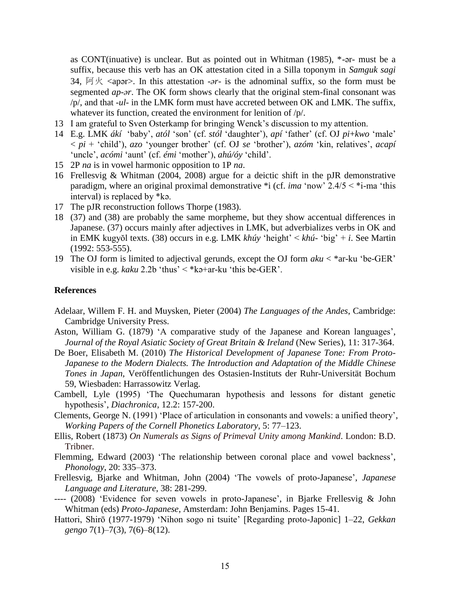as CONT(inuative) is unclear. But as pointed out in Whitman  $(1985)$ , \*- $\sigma$ - must be a suffix, because this verb has an OK attestation cited in a Silla toponym in *Samguk sagi* 34,  $\overline{M}\times$  <apər>. In this attestation *-ar-* is the adnominal suffix, so the form must be segmented *ap-ar*. The OK form shows clearly that the original stem-final consonant was /p/, and that -*ul*- in the LMK form must have accreted between OK and LMK. The suffix, whatever its function, created the environment for lenition of  $/p/$ .

- 13 I am grateful to Sven Osterkamp for bringing Wenck"s discussion to my attention.
- 14 E.g. LMK *ákí* "baby", *atól* "son" (cf. *stól* "daughter"), *apí* "father" (cf. OJ *pi*+*kwo* "male" < *pi* + "child"), *azo* "younger brother" (cf. OJ *se* "brother"), *azóm* "kin, relatives", *acapí* "uncle", *acómi* "aunt" (cf. *émi* "mother"), *ahú/óy* "child".
- 15 2P *na* is in vowel harmonic opposition to 1P *na*.
- 16 Frellesvig & Whitman (2004, 2008) argue for a deictic shift in the pJR demonstrative paradigm, where an original proximal demonstrative \*i (cf. *ima* "now" 2.4/5 < \*i-ma "this interval) is replaced by \*kǝ.
- 17 The pJR reconstruction follows Thorpe (1983).
- 18 (37) and (38) are probably the same morpheme, but they show accentual differences in Japanese. (37) occurs mainly after adjectives in LMK, but adverbializes verbs in OK and in EMK kugyŏl texts. (38) occurs in e.g. LMK *khúy* 'height' < *khú*- 'big' + *i*. See Martin (1992: 553-555).
- 19 The OJ form is limited to adjectival gerunds, except the OJ form *aku* < \*ar-ku "be-GER" visible in e.g. *kaku* 2.2b 'thus' < \*kǝ+ar-ku 'this be-GER'.

#### **References**

- Adelaar, Willem F. H. and Muysken, Pieter (2004) *The Languages of the Andes*, Cambridge: Cambridge University Press.
- Aston, William G. (1879) 'A comparative study of the Japanese and Korean languages', *Journal of the Royal Asiatic Society of Great Britain & Ireland* (New Series), 11: 317-364.
- De Boer, Elisabeth M. (2010) *The Historical Development of Japanese Tone: From Proto-Japanese to the Modern Dialects. The Introduction and Adaptation of the Middle Chinese Tones in Japan*, V[eröffentlichungen des Ostasien-Instituts der Ruhr-Universität Bochum](http://www.buchhandel.de/?caller=vlbPublic&strFrame=titelsuche&Reihentitel=Veröffentlichungen%20des%20Ostasien-Instituts%20der%20Ruhr-Universität,%20Bochum) 59, Wiesbaden: Harrassowitz Verlag.
- Cambell, Lyle (1995) "The Quechumaran hypothesis and lessons for distant genetic hypothesis", *Diachronica*, 12.2: 157-200.
- Clements, George N. (1991) "Place of articulation in consonants and vowels: a unified theory", *Working Papers of the Cornell Phonetics Laboratory*, 5: 77–123.
- Ellis, Robert (1873) *On Numerals as Signs of Primeval Unity among Mankind*. London: B.D. Tribner.
- Flemming, Edward (2003) "The relationship between coronal place and vowel backness", *Phonology*, 20: 335–373.
- Frellesvig, Bjarke and Whitman, John (2004) "The vowels of proto-Japanese", *Japanese Language and Literature*, 38: 281-299.
- ---- (2008) "Evidence for seven vowels in proto-Japanese", in Bjarke Frellesvig & John Whitman (eds) *Proto-Japanese*, Amsterdam: John Benjamins. Pages 15-41.
- Hattori, Shirō (1977-1979) "Nihon sogo ni tsuite" [Regarding proto-Japonic] 1–22, *Gekkan gengo* 7(1)–7(3), 7(6)–8(12).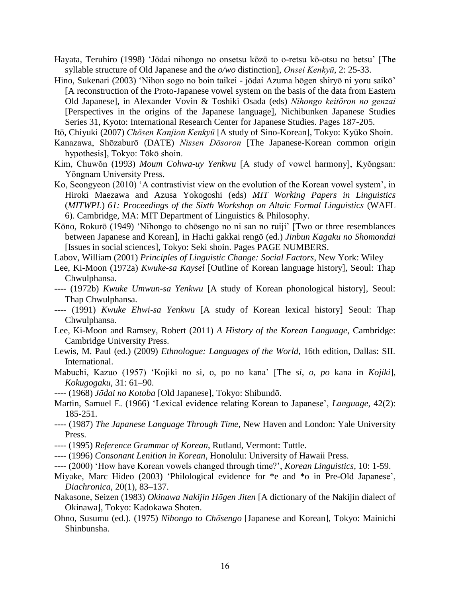- Hayata, Teruhiro (1998) "Jōdai nihongo no onsetsu kōzō to o-retsu kō-otsu no betsu" [The syllable structure of Old Japanese and the *o/wo* distinction], *Onsei Kenkyū*, 2: 25-33.
- Hino, Sukenari (2003) "Nihon sogo no boin taikei jōdai Azuma hōgen shiryō ni yoru saikō" [A reconstruction of the Proto-Japanese vowel system on the basis of the data from Eastern Old Japanese], in Alexander Vovin & Toshiki Osada (eds) *Nihongo keitōron no genzai* [Perspectives in the origins of the Japanese language], Nichibunken Japanese Studies Series 31, Kyoto: International Research Center for Japanese Studies. Pages 187-205.
- Itō, Chiyuki (2007) *Chōsen Kanjion Kenkyū* [A study of Sino-Korean], Tokyo: Kyūko Shoin.
- Kanazawa, Shōzaburō (DATE) *Nissen Dōsoron* [The Japanese-Korean common origin hypothesis], Tokyo: Tōkō shoin.
- Kim, Chuwŏn (1993) *Moum Cohwa-uy Yenkwu* [A study of vowel harmony], Kyŏngsan: Yŏngnam University Press.
- Ko, Seongyeon (2010) "A contrastivist view on the evolution of the Korean vowel system", in Hiroki Maezawa and Azusa Yokogoshi (eds) *MIT Working Papers in Linguistics* (*MITWPL*) *61: Proceedings of the Sixth Workshop on Altaic Formal Linguistics* (WAFL 6). Cambridge, MA: MIT Department of Linguistics & Philosophy.
- Kōno, Rokurō (1949) "Nihongo to chōsengo no ni san no ruiji" [Two or three resemblances between Japanese and Korean], in Hachi gakkai rengō (ed.) *Jinbun Kagaku no Shomondai* [Issues in social sciences], Tokyo: Seki shoin. Pages PAGE NUMBERS.

Labov, William (2001) *Principles of Linguistic Change: Social Factors*, New York: Wiley

- Lee, Ki-Moon (1972a) *Kwuke-sa Kaysel* [Outline of Korean language history], Seoul: Thap Chwulphansa.
- ---- (1972b) *Kwuke Umwun-sa Yenkwu* [A study of Korean phonological history], Seoul: Thap Chwulphansa.
- ---- (1991) *Kwuke Ehwi-sa Yenkwu* [A study of Korean lexical history] Seoul: Thap Chwulphansa.
- Lee, Ki-Moon and Ramsey, Robert (2011) *A History of the Korean Language*, Cambridge: Cambridge University Press.
- Lewis, M. Paul (ed.) (2009) *Ethnologue: Languages of the World*, 16th edition, Dallas: SIL International.
- Mabuchi, Kazuo (1957) "Kojiki no si, o, po no kana" [The *si*, *o*, *po* kana in *Kojiki*], *Kokugogaku*, 31: 61–90.
- ---- (1968) *Jōdai no Kotoba* [Old Japanese], Tokyo: Shibundō.
- Martin, Samuel E. (1966) "Lexical evidence relating Korean to Japanese", *Language*, 42(2): 185-251.
- ---- (1987) *The Japanese Language Through Time*, New Haven and London: Yale University Press.
- ---- (1995) *Reference Grammar of Korean*, Rutland, Vermont: Tuttle.
- ---- (1996) *Consonant Lenition in Korean*, Honolulu: University of Hawaii Press.
- ---- (2000) "How have Korean vowels changed through time?", *Korean Linguistics*, 10: 1-59.
- Miyake, Marc Hideo (2003) "Philological evidence for \*e and \*o in Pre-Old Japanese", *Diachronica*, 20(1), 83–137.
- Nakasone, Seizen (1983) *Okinawa Nakijin Hōgen Jiten* [A dictionary of the Nakijin dialect of Okinawa], Tokyo: Kadokawa Shoten.
- Ohno, Susumu (ed.). (1975) *Nihongo to Chōsengo* [Japanese and Korean], Tokyo: Mainichi Shinbunsha.